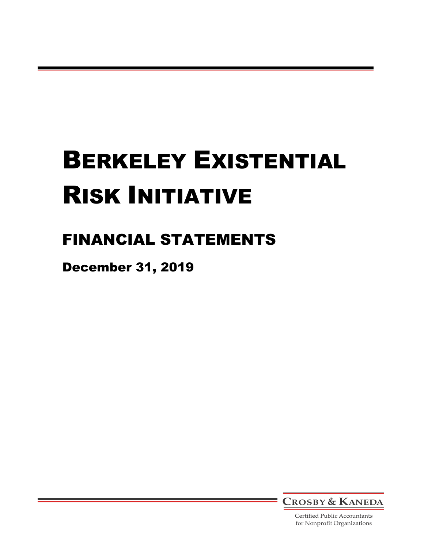# FINANCIAL STATEMENTS

December 31, 2019



Certified Public Accountants for Nonprofit Organizations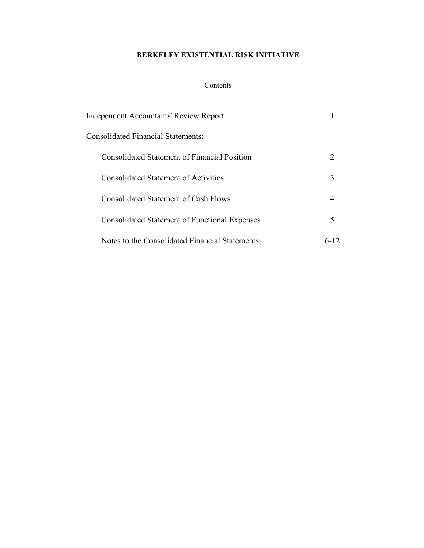# Contents

| <b>Independent Accountants' Review Report</b>        |               |
|------------------------------------------------------|---------------|
| <b>Consolidated Financial Statements:</b>            |               |
| Consolidated Statement of Financial Position         | $\mathcal{D}$ |
| <b>Consolidated Statement of Activities</b>          | 3             |
| Consolidated Statement of Cash Flows                 | 4             |
| <b>Consolidated Statement of Functional Expenses</b> |               |
| Notes to the Consolidated Financial Statements       | 12            |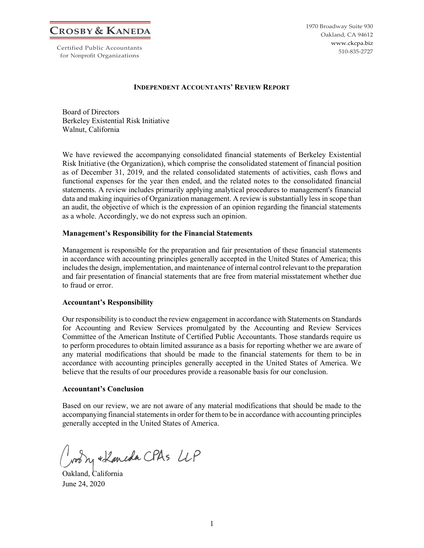**CROSBY & KANEDA**

Certified Public Accountants for Nonprofit Organizations

1970 Broadway Suite 930 Oakland, CA 94612 www.ckcpa.biz 510-835-2727

#### **INDEPENDENT ACCOUNTANTS' REVIEW REPORT**

Board of Directors Berkeley Existential Risk Initiative Walnut, California

We have reviewed the accompanying consolidated financial statements of Berkeley Existential Risk Initiative (the Organization), which comprise the consolidated statement of financial position as of December 31, 2019, and the related consolidated statements of activities, cash flows and functional expenses for the year then ended, and the related notes to the consolidated financial statements. A review includes primarily applying analytical procedures to management's financial data and making inquiries of Organization management. A review is substantially less in scope than an audit, the objective of which is the expression of an opinion regarding the financial statements as a whole. Accordingly, we do not express such an opinion.

#### **Management's Responsibility for the Financial Statements**

Management is responsible for the preparation and fair presentation of these financial statements in accordance with accounting principles generally accepted in the United States of America; this includes the design, implementation, and maintenance of internal control relevant to the preparation and fair presentation of financial statements that are free from material misstatement whether due to fraud or error.

#### **Accountant's Responsibility**

Our responsibility is to conduct the review engagement in accordance with Statements on Standards for Accounting and Review Services promulgated by the Accounting and Review Services Committee of the American Institute of Certified Public Accountants. Those standards require us to perform procedures to obtain limited assurance as a basis for reporting whether we are aware of any material modifications that should be made to the financial statements for them to be in accordance with accounting principles generally accepted in the United States of America. We believe that the results of our procedures provide a reasonable basis for our conclusion.

#### **Accountant's Conclusion**

Based on our review, we are not aware of any material modifications that should be made to the accompanying financial statements in order for them to be in accordance with accounting principles generally accepted in the United States of America.

woon + Laneda CPAS LLP

Oakland, California June 24, 2020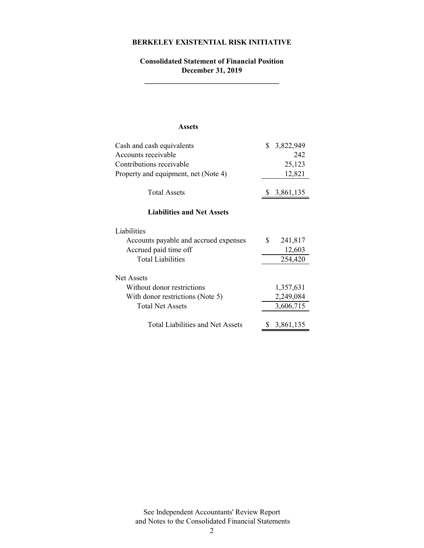# **Consolidated Statement of Financial Position December 31, 2019 \_\_\_\_\_\_\_\_\_\_\_\_\_\_\_\_\_\_\_\_\_\_\_\_\_\_\_\_\_\_\_\_\_\_\_\_**

# **Assets**

| Cash and cash equivalents             | \$ | 3,822,949 |
|---------------------------------------|----|-----------|
| Accounts receivable                   |    | 242       |
| Contributions receivable              |    | 25,123    |
| Property and equipment, net (Note 4)  |    | 12,821    |
| Total Assets                          | S  | 3,861,135 |
| <b>Liabilities and Net Assets</b>     |    |           |
| Liabilities                           |    |           |
| Accounts payable and accrued expenses | \$ | 241,817   |
| Accrued paid time off                 |    | 12,603    |
| <b>Total Liabilities</b>              |    | 254,420   |
| <b>Net Assets</b>                     |    |           |
| Without donor restrictions            |    | 1,357,631 |
| With donor restrictions (Note 5)      |    | 2,249,084 |
| <b>Total Net Assets</b>               |    | 3,606,715 |
| Total Liabilities and Net Assets      | S  | 3,861,135 |

See Independent Accountants' Review Report and Notes to the Consolidated Financial Statements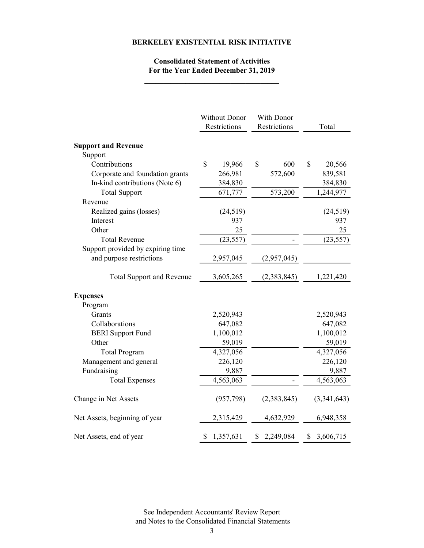# **Consolidated Statement of Activities For the Year Ended December 31, 2019**

**\_\_\_\_\_\_\_\_\_\_\_\_\_\_\_\_\_\_\_\_\_\_\_\_\_\_\_\_\_\_\_\_\_\_\_\_**

|                                   |              | <b>Without Donor</b><br>Restrictions |              | With Donor<br>Restrictions |              | Total       |
|-----------------------------------|--------------|--------------------------------------|--------------|----------------------------|--------------|-------------|
| <b>Support and Revenue</b>        |              |                                      |              |                            |              |             |
| Support                           |              |                                      |              |                            |              |             |
| Contributions                     | $\mathbb{S}$ | 19,966                               | $\mathbb{S}$ | 600                        | $\mathbb{S}$ | 20,566      |
| Corporate and foundation grants   |              | 266,981                              |              | 572,600                    |              | 839,581     |
| In-kind contributions (Note 6)    |              | 384,830                              |              |                            |              | 384,830     |
| <b>Total Support</b>              |              | 671,777                              |              | 573,200                    |              | 1,244,977   |
| Revenue                           |              |                                      |              |                            |              |             |
| Realized gains (losses)           |              | (24, 519)                            |              |                            |              | (24, 519)   |
| Interest                          |              | 937                                  |              |                            |              | 937         |
| Other                             |              | 25                                   |              |                            |              | 25          |
| <b>Total Revenue</b>              |              | (23, 557)                            |              |                            |              | (23, 557)   |
| Support provided by expiring time |              |                                      |              |                            |              |             |
| and purpose restrictions          |              | 2,957,045                            |              | (2,957,045)                |              |             |
| <b>Total Support and Revenue</b>  |              | 3,605,265                            |              | (2,383,845)                |              | 1,221,420   |
| <b>Expenses</b>                   |              |                                      |              |                            |              |             |
| Program                           |              |                                      |              |                            |              |             |
| Grants                            |              | 2,520,943                            |              |                            |              | 2,520,943   |
| Collaborations                    |              | 647,082                              |              |                            |              | 647,082     |
| <b>BERI</b> Support Fund          |              | 1,100,012                            |              |                            |              | 1,100,012   |
| Other                             |              | 59,019                               |              |                            |              | 59,019      |
| <b>Total Program</b>              |              | 4,327,056                            |              |                            |              | 4,327,056   |
| Management and general            |              | 226,120                              |              |                            |              | 226,120     |
| Fundraising                       |              | 9,887                                |              |                            |              | 9,887       |
| <b>Total Expenses</b>             |              | 4,563,063                            |              |                            |              | 4,563,063   |
| Change in Net Assets              |              | (957, 798)                           |              | (2,383,845)                |              | (3,341,643) |
| Net Assets, beginning of year     |              | 2,315,429                            |              | 4,632,929                  |              | 6,948,358   |
| Net Assets, end of year           | S            | 1,357,631                            | \$           | 2,249,084                  | \$           | 3,606,715   |

See Independent Accountants' Review Report and Notes to the Consolidated Financial Statements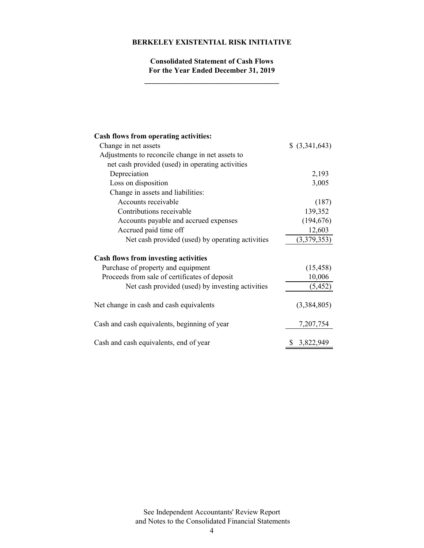# **Consolidated Statement of Cash Flows For the Year Ended December 31, 2019**

**\_\_\_\_\_\_\_\_\_\_\_\_\_\_\_\_\_\_\_\_\_\_\_\_\_\_\_\_\_\_\_\_\_\_\_\_**

| <b>Cash flows from operating activities:</b>     |                |
|--------------------------------------------------|----------------|
| Change in net assets                             | \$ (3,341,643) |
| Adjustments to reconcile change in net assets to |                |
| net cash provided (used) in operating activities |                |
| Depreciation                                     | 2,193          |
| Loss on disposition                              | 3,005          |
| Change in assets and liabilities:                |                |
| Accounts receivable                              | (187)          |
| Contributions receivable                         | 139,352        |
| Accounts payable and accrued expenses            | (194, 676)     |
| Accrued paid time off                            | 12,603         |
| Net cash provided (used) by operating activities | (3,379,353)    |
| <b>Cash flows from investing activities</b>      |                |
| Purchase of property and equipment               | (15, 458)      |
| Proceeds from sale of certificates of deposit    | 10,006         |
| Net cash provided (used) by investing activities | (5, 452)       |
| Net change in cash and cash equivalents          | (3,384,805)    |
| Cash and cash equivalents, beginning of year     | 7,207,754      |
| Cash and cash equivalents, end of year           | \$3,822,949    |

See Independent Accountants' Review Report and Notes to the Consolidated Financial Statements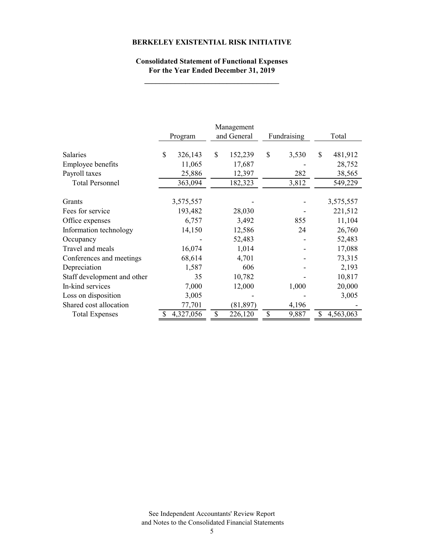# **Consolidated Statement of Functional Expenses For the Year Ended December 31, 2019 \_\_\_\_\_\_\_\_\_\_\_\_\_\_\_\_\_\_\_\_\_\_\_\_\_\_\_\_\_\_\_\_\_\_\_\_**

|                             | Program                 | Management<br>and General | Fundraising | Total           |
|-----------------------------|-------------------------|---------------------------|-------------|-----------------|
| Salaries                    | $\mathbb{S}$<br>326,143 | \$<br>152,239             | \$<br>3,530 | \$<br>481,912   |
| Employee benefits           | 11,065                  | 17,687                    |             | 28,752          |
| Payroll taxes               | 25,886                  | 12,397                    | 282         | 38,565          |
| <b>Total Personnel</b>      | 363,094                 | 182,323                   | 3,812       | 549,229         |
|                             |                         |                           |             |                 |
| Grants                      | 3,575,557               |                           |             | 3,575,557       |
| Fees for service            | 193,482                 | 28,030                    |             | 221,512         |
| Office expenses             | 6,757                   | 3,492                     | 855         | 11,104          |
| Information technology      | 14,150                  | 12,586                    | 24          | 26,760          |
| Occupancy                   |                         | 52,483                    |             | 52,483          |
| Travel and meals            | 16,074                  | 1,014                     |             | 17,088          |
| Conferences and meetings    | 68,614                  | 4,701                     |             | 73,315          |
| Depreciation                | 1,587                   | 606                       |             | 2,193           |
| Staff development and other | 35                      | 10,782                    |             | 10,817          |
| In-kind services            | 7,000                   | 12,000                    | 1,000       | 20,000          |
| Loss on disposition         | 3,005                   |                           |             | 3,005           |
| Shared cost allocation      | 77,701                  | (81, 897)                 | 4,196       |                 |
| <b>Total Expenses</b>       | 4,327,056               | \$<br>226,120             | \$<br>9,887 | \$<br>4,563,063 |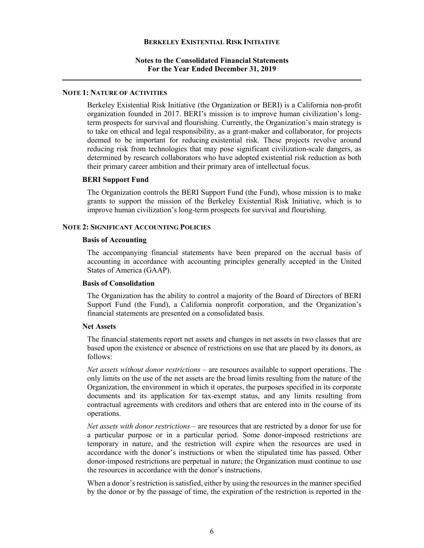#### **Notes to the Consolidated Financial Statements For the Year Ended December 31, 2019**

# **NOTE 1: NATURE OF ACTIVITIES**

Berkeley Existential Risk Initiative (the Organization or BERI) is a California non-profit organization founded in 2017. BERI's mission is to improve human civilization's longterm prospects for survival and flourishing. Currently, the Organization's main strategy is to take on ethical and legal responsibility, as a grant-maker and collaborator, for projects deemed to be important for reducing [existential risk.](https://en.wikipedia.org/wiki/Global_catastrophic_risk#Moral_importance_of_existential_risk) These projects revolve around reducing risk from technologies that may pose significant civilization-scale dangers, as determined by research collaborators who have adopted existential risk reduction as both their primary career ambition and their primary area of intellectual focus.

#### **BERI Support Fund**

The Organization controls the BERI Support Fund (the Fund), whose mission is to make grants to support the mission of the Berkeley Existential Risk Initiative, which is to improve human civilization's long-term prospects for survival and flourishing.

#### **NOTE 2: SIGNIFICANT ACCOUNTING POLICIES**

#### **Basis of Accounting**

The accompanying financial statements have been prepared on the accrual basis of accounting in accordance with accounting principles generally accepted in the United States of America (GAAP).

#### **Basis of Consolidation**

The Organization has the ability to control a majority of the Board of Directors of BERI Support Fund (the Fund), a California nonprofit corporation, and the Organization's financial statements are presented on a consolidated basis.

#### **Net Assets**

The financial statements report net assets and changes in net assets in two classes that are based upon the existence or absence of restrictions on use that are placed by its donors, as follows:

*Net assets without donor restrictions* – are resources available to support operations. The only limits on the use of the net assets are the broad limits resulting from the nature of the Organization, the environment in which it operates, the purposes specified in its corporate documents and its application for tax-exempt status, and any limits resulting from contractual agreements with creditors and others that are entered into in the course of its operations.

*Net assets with donor restrictions* – are resources that are restricted by a donor for use for a particular purpose or in a particular period. Some donor-imposed restrictions are temporary in nature, and the restriction will expire when the resources are used in accordance with the donor's instructions or when the stipulated time has passed. Other donor-imposed restrictions are perpetual in nature; the Organization must continue to use the resources in accordance with the donor's instructions.

When a donor's restriction is satisfied, either by using the resources in the manner specified by the donor or by the passage of time, the expiration of the restriction is reported in the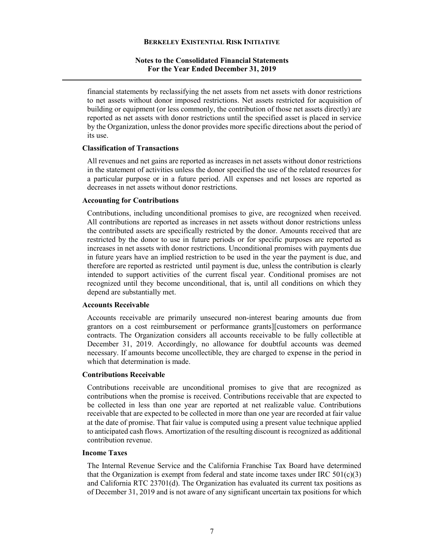# **Notes to the Consolidated Financial Statements For the Year Ended December 31, 2019**

financial statements by reclassifying the net assets from net assets with donor restrictions to net assets without donor imposed restrictions. Net assets restricted for acquisition of building or equipment (or less commonly, the contribution of those net assets directly) are reported as net assets with donor restrictions until the specified asset is placed in service by the Organization, unless the donor provides more specific directions about the period of its use.

# **Classification of Transactions**

All revenues and net gains are reported as increases in net assets without donor restrictions in the statement of activities unless the donor specified the use of the related resources for a particular purpose or in a future period. All expenses and net losses are reported as decreases in net assets without donor restrictions.

#### **Accounting for Contributions**

Contributions, including unconditional promises to give, are recognized when received. All contributions are reported as increases in net assets without donor restrictions unless the contributed assets are specifically restricted by the donor. Amounts received that are restricted by the donor to use in future periods or for specific purposes are reported as increases in net assets with donor restrictions. Unconditional promises with payments due in future years have an implied restriction to be used in the year the payment is due, and therefore are reported as restricted until payment is due, unless the contribution is clearly intended to support activities of the current fiscal year. Conditional promises are not recognized until they become unconditional, that is, until all conditions on which they depend are substantially met.

#### **Accounts Receivable**

Accounts receivable are primarily unsecured non-interest bearing amounts due from grantors on a cost reimbursement or performance grants][customers on performance contracts. The Organization considers all accounts receivable to be fully collectible at December 31, 2019. Accordingly, no allowance for doubtful accounts was deemed necessary. If amounts become uncollectible, they are charged to expense in the period in which that determination is made.

#### **Contributions Receivable**

Contributions receivable are unconditional promises to give that are recognized as contributions when the promise is received. Contributions receivable that are expected to be collected in less than one year are reported at net realizable value. Contributions receivable that are expected to be collected in more than one year are recorded at fair value at the date of promise. That fair value is computed using a present value technique applied to anticipated cash flows. Amortization of the resulting discount is recognized as additional contribution revenue.

#### **Income Taxes**

The Internal Revenue Service and the California Franchise Tax Board have determined that the Organization is exempt from federal and state income taxes under IRC  $501(c)(3)$ and California RTC 23701(d). The Organization has evaluated its current tax positions as of December 31, 2019 and is not aware of any significant uncertain tax positions for which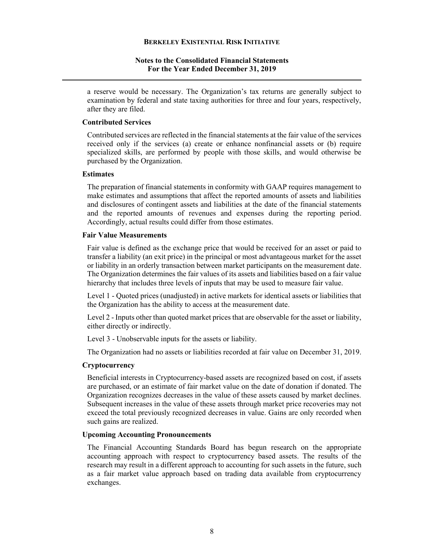#### **Notes to the Consolidated Financial Statements For the Year Ended December 31, 2019**

a reserve would be necessary. The Organization's tax returns are generally subject to examination by federal and state taxing authorities for three and four years, respectively, after they are filed.

#### **Contributed Services**

Contributed services are reflected in the financial statements at the fair value of the services received only if the services (a) create or enhance nonfinancial assets or (b) require specialized skills, are performed by people with those skills, and would otherwise be purchased by the Organization.

#### **Estimates**

The preparation of financial statements in conformity with GAAP requires management to make estimates and assumptions that affect the reported amounts of assets and liabilities and disclosures of contingent assets and liabilities at the date of the financial statements and the reported amounts of revenues and expenses during the reporting period. Accordingly, actual results could differ from those estimates.

#### **Fair Value Measurements**

Fair value is defined as the exchange price that would be received for an asset or paid to transfer a liability (an exit price) in the principal or most advantageous market for the asset or liability in an orderly transaction between market participants on the measurement date. The Organization determines the fair values of its assets and liabilities based on a fair value hierarchy that includes three levels of inputs that may be used to measure fair value.

Level 1 - Quoted prices (unadjusted) in active markets for identical assets or liabilities that the Organization has the ability to access at the measurement date.

Level 2 - Inputs other than quoted market prices that are observable for the asset or liability, either directly or indirectly.

Level 3 - Unobservable inputs for the assets or liability.

The Organization had no assets or liabilities recorded at fair value on December 31, 2019.

#### **Cryptocurrency**

Beneficial interests in Cryptocurrency-based assets are recognized based on cost, if assets are purchased, or an estimate of fair market value on the date of donation if donated. The Organization recognizes decreases in the value of these assets caused by market declines. Subsequent increases in the value of these assets through market price recoveries may not exceed the total previously recognized decreases in value. Gains are only recorded when such gains are realized.

#### **Upcoming Accounting Pronouncements**

The Financial Accounting Standards Board has begun research on the appropriate accounting approach with respect to cryptocurrency based assets. The results of the research may result in a different approach to accounting for such assets in the future, such as a fair market value approach based on trading data available from cryptocurrency exchanges.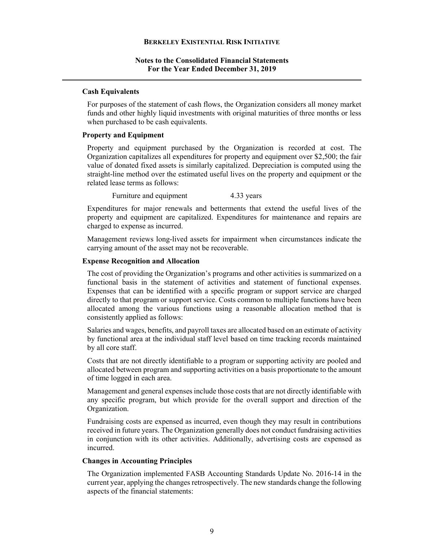#### **Notes to the Consolidated Financial Statements For the Year Ended December 31, 2019**

#### **Cash Equivalents**

For purposes of the statement of cash flows, the Organization considers all money market funds and other highly liquid investments with original maturities of three months or less when purchased to be cash equivalents.

#### **Property and Equipment**

Property and equipment purchased by the Organization is recorded at cost. The Organization capitalizes all expenditures for property and equipment over \$2,500; the fair value of donated fixed assets is similarly capitalized. Depreciation is computed using the straight-line method over the estimated useful lives on the property and equipment or the related lease terms as follows:

Furniture and equipment 4.33 years

Expenditures for major renewals and betterments that extend the useful lives of the property and equipment are capitalized. Expenditures for maintenance and repairs are charged to expense as incurred.

Management reviews long-lived assets for impairment when circumstances indicate the carrying amount of the asset may not be recoverable.

#### **Expense Recognition and Allocation**

The cost of providing the Organization's programs and other activities is summarized on a functional basis in the statement of activities and statement of functional expenses. Expenses that can be identified with a specific program or support service are charged directly to that program or support service. Costs common to multiple functions have been allocated among the various functions using a reasonable allocation method that is consistently applied as follows:

Salaries and wages, benefits, and payroll taxes are allocated based on an estimate of activity by functional area at the individual staff level based on time tracking records maintained by all core staff.

Costs that are not directly identifiable to a program or supporting activity are pooled and allocated between program and supporting activities on a basis proportionate to the amount of time logged in each area.

Management and general expenses include those costs that are not directly identifiable with any specific program, but which provide for the overall support and direction of the Organization.

Fundraising costs are expensed as incurred, even though they may result in contributions received in future years. The Organization generally does not conduct fundraising activities in conjunction with its other activities. Additionally, advertising costs are expensed as incurred.

# **Changes in Accounting Principles**

The Organization implemented FASB Accounting Standards Update No. 2016-14 in the current year, applying the changes retrospectively. The new standards change the following aspects of the financial statements: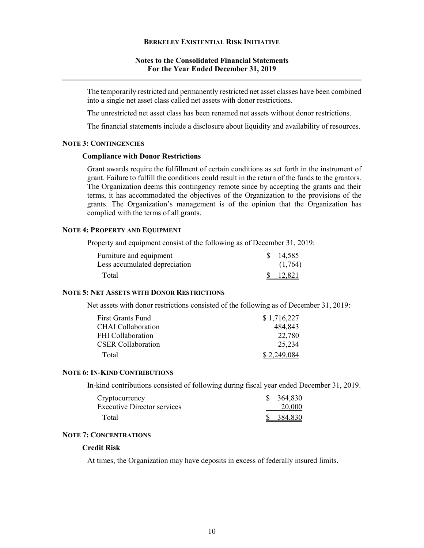#### **Notes to the Consolidated Financial Statements For the Year Ended December 31, 2019**

The temporarily restricted and permanently restricted net asset classes have been combined into a single net asset class called net assets with donor restrictions.

The unrestricted net asset class has been renamed net assets without donor restrictions.

The financial statements include a disclosure about liquidity and availability of resources.

#### **NOTE 3: CONTINGENCIES**

#### **Compliance with Donor Restrictions**

Grant awards require the fulfillment of certain conditions as set forth in the instrument of grant. Failure to fulfill the conditions could result in the return of the funds to the grantors. The Organization deems this contingency remote since by accepting the grants and their terms, it has accommodated the objectives of the Organization to the provisions of the grants. The Organization's management is of the opinion that the Organization has complied with the terms of all grants.

# **NOTE 4: PROPERTY AND EQUIPMENT**

Property and equipment consist of the following as of December 31, 2019:

| Furniture and equipment       | \$14,585           |
|-------------------------------|--------------------|
| Less accumulated depreciation | (1,764)            |
| Total                         | $\frac{12,821}{ }$ |

#### **NOTE 5: NET ASSETS WITH DONOR RESTRICTIONS**

Net assets with donor restrictions consisted of the following as of December 31, 2019:

| First Grants Fund         | \$1,716,227 |
|---------------------------|-------------|
| CHAI Collaboration        | 484,843     |
| FHI Collaboration         | 22,780      |
| <b>CSER Collaboration</b> | 25.234      |
| Total                     | \$2,249,084 |

#### **NOTE 6: IN-KIND CONTRIBUTIONS**

In-kind contributions consisted of following during fiscal year ended December 31, 2019.

| Cryptocurrency              | \$364,830  |
|-----------------------------|------------|
| Executive Director services | 20,000     |
| Total                       | \$ 384,830 |

# **NOTE 7: CONCENTRATIONS**

# **Credit Risk**

At times, the Organization may have deposits in excess of federally insured limits.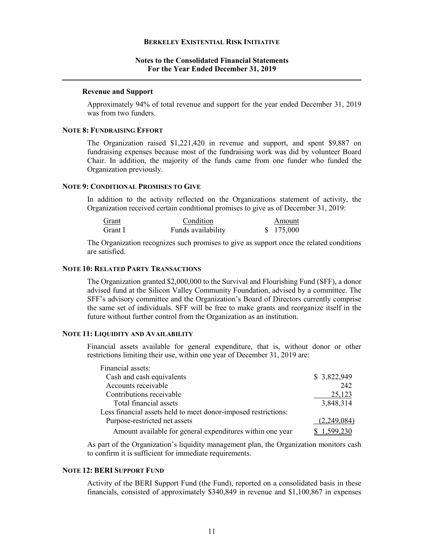#### **Notes to the Consolidated Financial Statements For the Year Ended December 31, 2019**

#### **Revenue and Support**

Approximately 94% of total revenue and support for the year ended December 31, 2019 was from two funders.

#### **NOTE 8: FUNDRAISING EFFORT**

The Organization raised \$1,221,420 in revenue and support, and spent \$9,887 on fundraising expenses because most of the fundraising work was did by volunteer Board Chair. In addition, the majority of the funds came from one funder who funded the Organization previously.

#### **NOTE 9: CONDITIONAL PROMISES TO GIVE**

In addition to the activity reflected on the Organizations statement of activity, the Organization received certain conditional promises to give as of December 31, 2019:

| Grant   | Condition          | Amount    |
|---------|--------------------|-----------|
| Grant I | Funds availability | \$175,000 |

The Organization recognizes such promises to give as support once the related conditions are satisfied.

#### **NOTE 10: RELATED PARTY TRANSACTIONS**

The Organization granted \$2,000,000 to the Survival and Flourishing Fund (SFF), a donor advised fund at the Silicon Valley Community Foundation, advised by a committee. The SFF's advisory committee and the Organization's Board of Directors currently comprise the same set of individuals. SFF will be free to make grants and reorganize itself in the future without further control from the Organization as an institution.

#### **NOTE 11: LIQUIDITY AND AVAILABILITY**

Financial assets available for general expenditure, that is, without donor or other restrictions limiting their use, within one year of December 31, 2019 are:

| Financial assets:                                              |             |
|----------------------------------------------------------------|-------------|
| Cash and cash equivalents                                      | \$3,822,949 |
| Accounts receivable                                            | 242         |
| Contributions receivable                                       | 25,123      |
| Total financial assets                                         | 3,848,314   |
| Less financial assets held to meet donor-imposed restrictions: |             |
| Purpose-restricted net assets                                  | (2,249,084) |
| Amount available for general expenditures within one year      |             |

As part of the Organization's liquidity management plan, the Organization monitors cash to confirm it is sufficient for immediate requirements.

#### **NOTE 12: BERI SUPPORT FUND**

Activity of the BERI Support Fund (the Fund), reported on a consolidated basis in these financials, consisted of approximately \$340,849 in revenue and \$1,100,867 in expenses